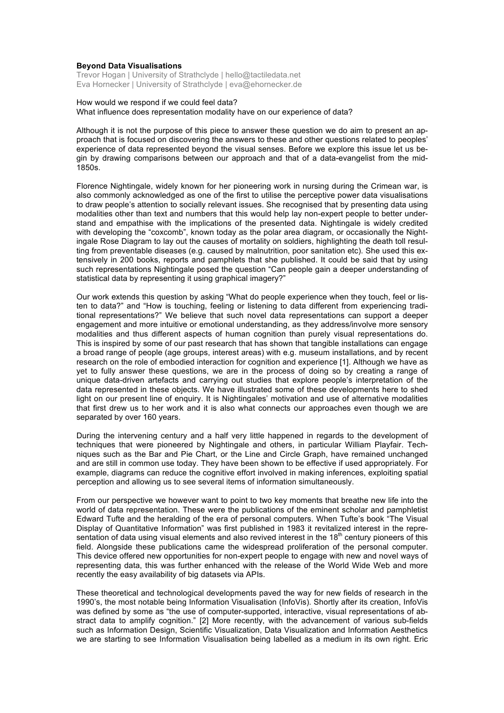#### **Beyond Data Visualisations**

Trevor Hogan | University of Strathclyde | hello@tactiledata.net Eva Hornecker | University of Strathclyde | eva@ehornecker.de

### How would we respond if we could feel data? What influence does representation modality have on our experience of data?

Although it is not the purpose of this piece to answer these question we do aim to present an approach that is focused on discovering the answers to these and other questions related to peoples' experience of data represented beyond the visual senses. Before we explore this issue let us begin by drawing comparisons between our approach and that of a data-evangelist from the mid-1850s.

Florence Nightingale, widely known for her pioneering work in nursing during the Crimean war, is also commonly acknowledged as one of the first to utilise the perceptive power data visualisations to draw people's attention to socially relevant issues. She recognised that by presenting data using modalities other than text and numbers that this would help lay non-expert people to better understand and empathise with the implications of the presented data. Nightingale is widely credited with developing the "coxcomb", known today as the polar area diagram, or occasionally the Nightingale Rose Diagram to lay out the causes of mortality on soldiers, highlighting the death toll resulting from preventable diseases (e.g. caused by malnutrition, poor sanitation etc). She used this extensively in 200 books, reports and pamphlets that she published. It could be said that by using such representations Nightingale posed the question "Can people gain a deeper understanding of statistical data by representing it using graphical imagery?"

Our work extends this question by asking "What do people experience when they touch, feel or listen to data?" and "How is touching, feeling or listening to data different from experiencing traditional representations?" We believe that such novel data representations can support a deeper engagement and more intuitive or emotional understanding, as they address/involve more sensory modalities and thus different aspects of human cognition than purely visual representations do. This is inspired by some of our past research that has shown that tangible installations can engage a broad range of people (age groups, interest areas) with e.g. museum installations, and by recent research on the role of embodied interaction for cognition and experience [1]. Although we have as yet to fully answer these questions, we are in the process of doing so by creating a range of unique data-driven artefacts and carrying out studies that explore people's interpretation of the data represented in these objects. We have illustrated some of these developments here to shed light on our present line of enquiry. It is Nightingales' motivation and use of alternative modalities that first drew us to her work and it is also what connects our approaches even though we are separated by over 160 years.

During the intervening century and a half very little happened in regards to the development of techniques that were pioneered by Nightingale and others, in particular William Playfair. Techniques such as the Bar and Pie Chart, or the Line and Circle Graph, have remained unchanged and are still in common use today. They have been shown to be effective if used appropriately. For example, diagrams can reduce the cognitive effort involved in making inferences, exploiting spatial perception and allowing us to see several items of information simultaneously.

From our perspective we however want to point to two key moments that breathe new life into the world of data representation. These were the publications of the eminent scholar and pamphletist Edward Tufte and the heralding of the era of personal computers. When Tufte's book "The Visual Display of Quantitative Information" was first published in 1983 it revitalized interest in the representation of data using visual elements and also revived interest in the  $18<sup>th</sup>$  century pioneers of this field. Alongside these publications came the widespread proliferation of the personal computer. This device offered new opportunities for non-expert people to engage with new and novel ways of representing data, this was further enhanced with the release of the World Wide Web and more recently the easy availability of big datasets via APIs.

These theoretical and technological developments paved the way for new fields of research in the 1990's, the most notable being Information Visualisation (InfoVis). Shortly after its creation, InfoVis was defined by some as "the use of computer-supported, interactive, visual representations of abstract data to amplify cognition." [2] More recently, with the advancement of various sub-fields such as Information Design, Scientific Visualization, Data Visualization and Information Aesthetics we are starting to see Information Visualisation being labelled as a medium in its own right. Eric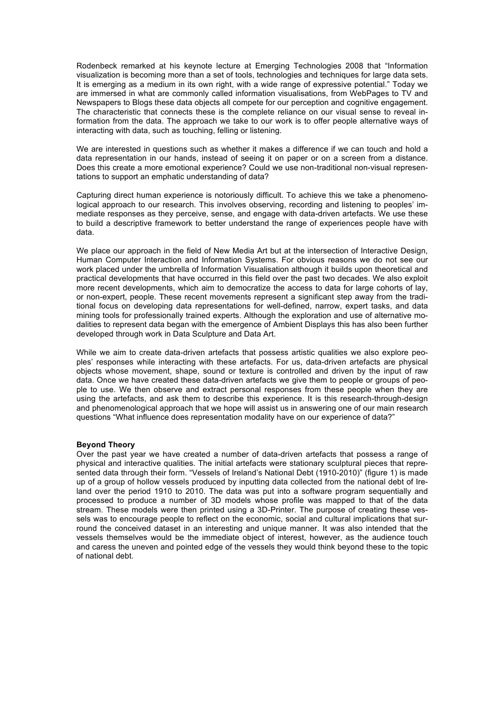Rodenbeck remarked at his keynote lecture at Emerging Technologies 2008 that "Information visualization is becoming more than a set of tools, technologies and techniques for large data sets. It is emerging as a medium in its own right, with a wide range of expressive potential." Today we are immersed in what are commonly called information visualisations, from WebPages to TV and Newspapers to Blogs these data objects all compete for our perception and cognitive engagement. The characteristic that connects these is the complete reliance on our visual sense to reveal information from the data. The approach we take to our work is to offer people alternative ways of interacting with data, such as touching, felling or listening.

We are interested in questions such as whether it makes a difference if we can touch and hold a data representation in our hands, instead of seeing it on paper or on a screen from a distance. Does this create a more emotional experience? Could we use non-traditional non-visual representations to support an emphatic understanding of data?

Capturing direct human experience is notoriously difficult. To achieve this we take a phenomenological approach to our research. This involves observing, recording and listening to peoples' immediate responses as they perceive, sense, and engage with data-driven artefacts. We use these to build a descriptive framework to better understand the range of experiences people have with data.

We place our approach in the field of New Media Art but at the intersection of Interactive Design, Human Computer Interaction and Information Systems. For obvious reasons we do not see our work placed under the umbrella of Information Visualisation although it builds upon theoretical and practical developments that have occurred in this field over the past two decades. We also exploit more recent developments, which aim to democratize the access to data for large cohorts of lay, or non-expert, people. These recent movements represent a significant step away from the traditional focus on developing data representations for well-defined, narrow, expert tasks, and data mining tools for professionally trained experts. Although the exploration and use of alternative modalities to represent data began with the emergence of Ambient Displays this has also been further developed through work in Data Sculpture and Data Art.

While we aim to create data-driven artefacts that possess artistic qualities we also explore peoples' responses while interacting with these artefacts. For us, data-driven artefacts are physical objects whose movement, shape, sound or texture is controlled and driven by the input of raw data. Once we have created these data-driven artefacts we give them to people or groups of people to use. We then observe and extract personal responses from these people when they are using the artefacts, and ask them to describe this experience. It is this research-through-design and phenomenological approach that we hope will assist us in answering one of our main research questions "What influence does representation modality have on our experience of data?"

### **Beyond Theory**

Over the past year we have created a number of data-driven artefacts that possess a range of physical and interactive qualities. The initial artefacts were stationary sculptural pieces that represented data through their form. "Vessels of Ireland's National Debt (1910-2010)" (figure 1) is made up of a group of hollow vessels produced by inputting data collected from the national debt of Ireland over the period 1910 to 2010. The data was put into a software program sequentially and processed to produce a number of 3D models whose profile was mapped to that of the data stream. These models were then printed using a 3D-Printer. The purpose of creating these vessels was to encourage people to reflect on the economic, social and cultural implications that surround the conceived dataset in an interesting and unique manner. It was also intended that the vessels themselves would be the immediate object of interest, however, as the audience touch and caress the uneven and pointed edge of the vessels they would think beyond these to the topic of national debt.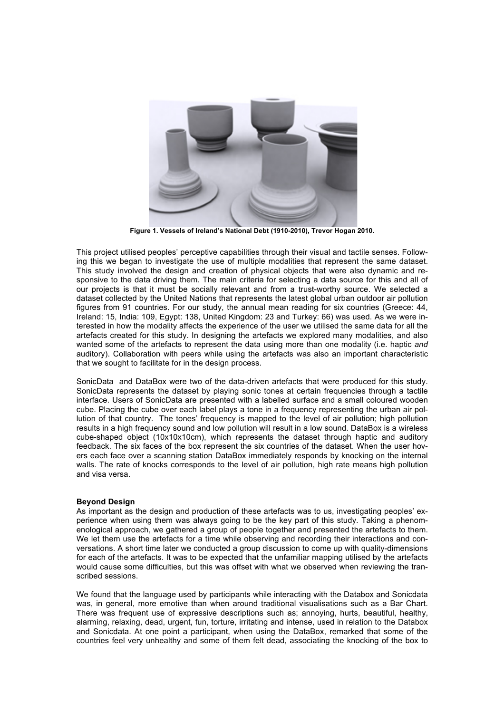

**Figure 1. Vessels of Ireland's National Debt (1910-2010), Trevor Hogan 2010.**

This project utilised peoples' perceptive capabilities through their visual and tactile senses. Following this we began to investigate the use of multiple modalities that represent the same dataset. This study involved the design and creation of physical objects that were also dynamic and responsive to the data driving them. The main criteria for selecting a data source for this and all of our projects is that it must be socially relevant and from a trust-worthy source. We selected a dataset collected by the United Nations that represents the latest global urban outdoor air pollution figures from 91 countries. For our study, the annual mean reading for six countries (Greece: 44, Ireland: 15, India: 109, Egypt: 138, United Kingdom: 23 and Turkey: 66) was used. As we were interested in how the modality affects the experience of the user we utilised the same data for all the artefacts created for this study. In designing the artefacts we explored many modalities, and also wanted some of the artefacts to represent the data using more than one modality (i.e. haptic *and* auditory). Collaboration with peers while using the artefacts was also an important characteristic that we sought to facilitate for in the design process.

SonicData and DataBox were two of the data-driven artefacts that were produced for this study. SonicData represents the dataset by playing sonic tones at certain frequencies through a tactile interface. Users of SonicData are presented with a labelled surface and a small coloured wooden cube. Placing the cube over each label plays a tone in a frequency representing the urban air pollution of that country. The tones' frequency is mapped to the level of air pollution; high pollution results in a high frequency sound and low pollution will result in a low sound. DataBox is a wireless cube-shaped object (10x10x10cm), which represents the dataset through haptic and auditory feedback. The six faces of the box represent the six countries of the dataset. When the user hovers each face over a scanning station DataBox immediately responds by knocking on the internal walls. The rate of knocks corresponds to the level of air pollution, high rate means high pollution and visa versa.

# **Beyond Design**

As important as the design and production of these artefacts was to us, investigating peoples' experience when using them was always going to be the key part of this study. Taking a phenomenological approach, we gathered a group of people together and presented the artefacts to them. We let them use the artefacts for a time while observing and recording their interactions and conversations. A short time later we conducted a group discussion to come up with quality-dimensions for each of the artefacts. It was to be expected that the unfamiliar mapping utilised by the artefacts would cause some difficulties, but this was offset with what we observed when reviewing the transcribed sessions.

We found that the language used by participants while interacting with the Databox and Sonicdata was, in general, more emotive than when around traditional visualisations such as a Bar Chart. There was frequent use of expressive descriptions such as; annoying, hurts, beautiful, healthy, alarming, relaxing, dead, urgent, fun, torture, irritating and intense, used in relation to the Databox and Sonicdata. At one point a participant, when using the DataBox, remarked that some of the countries feel very unhealthy and some of them felt dead, associating the knocking of the box to